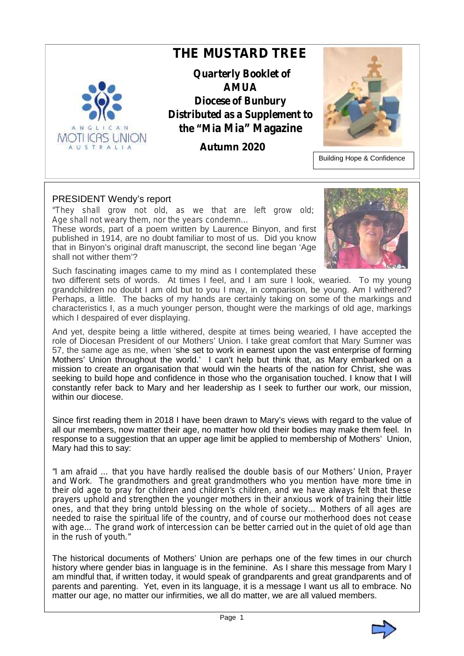

### PRESIDENT Wendy's report

*"They shall grow not old, as we that are left grow old; Age shall not weary them, nor the years condemn…*

These words, part of a poem written by Laurence Binyon, and first published in 1914, are no doubt familiar to most of us. Did you know that in Binyon's original draft manuscript, the second line began 'Age shall not wither them'?



Such fascinating images came to my mind as I contemplated these

two different sets of words. At times I feel, and I am sure I look, wearied. To my young grandchildren no doubt I am old but to you I may, in comparison, be young. Am I withered? Perhaps, a little. The backs of my hands are certainly taking on some of the markings and characteristics I, as a much younger person, thought were the markings of old age, markings which I despaired of ever displaying.

And yet, despite being a little withered, despite at times being wearied, I have accepted the role of Diocesan President of our Mothers' Union. I take great comfort that Mary Sumner was 57, the same age as me, when 'she set to work in earnest upon the vast enterprise of forming Mothers' Union throughout the world.' I can't help but think that, as Mary embarked on a mission to create an organisation that would win the hearts of the nation for Christ, she was seeking to build hope and confidence in those who the organisation touched. I know that I will constantly refer back to Mary and her leadership as I seek to further our work, our mission, within our diocese.

Since first reading them in 2018 I have been drawn to Mary's views with regard to the value of all our members, now matter their age, no matter how old their bodies may make them feel. In response to a suggestion that an upper age limit be applied to membership of Mothers' Union, Mary had this to say:

*"I am afraid … that you have hardly realised the double basis of our Mothers' Union, Prayer and Work. The grandmothers and great grandmothers who you mention have more time in their old age to pray for children and children's children, and we have always felt that these prayers uphold and strengthen the younger mothers in their anxious work of training their little ones, and that they bring untold blessing on the whole of society… Mothers of all ages are needed to raise the spiritual life of the country, and of course our motherhood does not cease with age… The grand work of intercession can be better carried out in the quiet of old age than in the rush of youth."*

The historical documents of Mothers' Union are perhaps one of the few times in our church history where gender bias in language is in the feminine. As I share this message from Mary I am mindful that, if written today, it would speak of grandparents and great grandparents and of parents and parenting. Yet, even in its language, it is a message I want us all to embrace. No matter our age, no matter our infirmities, we all do matter, we are all valued members.

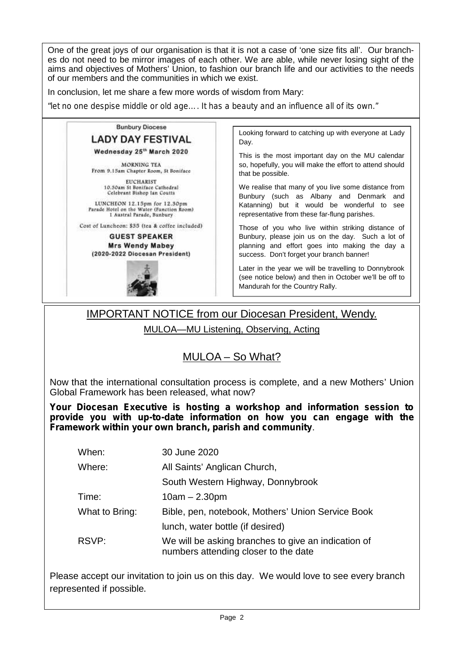One of the great joys of our organisation is that it is not a case of 'one size fits all'. Our branches do not need to be mirror images of each other. We are able, while never losing sight of the aims and objectives of Mothers' Union, to fashion our branch life and our activities to the needs of our members and the communities in which we exist.

In conclusion, let me share a few more words of wisdom from Mary:

*"let no one despise middle or old age…. It has a beauty and an influence all of its own."*

#### **Bunbury Diocese**

## **LADY DAY FESTIVAL**

Wednesday 25<sup>th</sup> March 2020

MORNING TEA From 9.15am Chapter Room, St Boniface

> **EUCHARIST** 10.30am St Boniface Cathedral<br>Celebrant Bishop Ian Coutts

LUNCHEON 12.15pm for 12.30pm Parade Hotel on the Water (Function Room)<br>1 Austral Parade, Bunbury

Cost of Luncheon: \$35 (tea & coffee included)

**GUEST SPEAKER Mrs Wendy Mabev** (2020-2022 Diocesan President)



Looking forward to catching up with everyone at Lady Day.

This is the most important day on the MU calendar so, hopefully, you will make the effort to attend should that be possible.

We realise that many of you live some distance from Bunbury (such as Albany and Denmark and Katanning) but it would be wonderful to see representative from these far-flung parishes.

Those of you who live within striking distance of Bunbury, please join us on the day. Such a lot of planning and effort goes into making the day a success. Don't forget your branch banner!

Later in the year we will be travelling to Donnybrook (see notice below) and then in October we'll be off to Mandurah for the Country Rally.

# IMPORTANT NOTICE from our Diocesan President, Wendy.

MULOA—MU Listening, Observing, Acting

# MULOA – So What?

Now that the international consultation process is complete, and a new Mothers' Union Global Framework has been released, what now?

**Your Diocesan Executive is hosting a workshop and information session to provide you with up-to-date information on how you can engage with the Framework within your own branch, parish and community**.

| When:          | 30 June 2020                                                                                |
|----------------|---------------------------------------------------------------------------------------------|
| Where:         | All Saints' Anglican Church,                                                                |
|                | South Western Highway, Donnybrook                                                           |
| Time:          | $10am - 2.30pm$                                                                             |
| What to Bring: | Bible, pen, notebook, Mothers' Union Service Book                                           |
|                | lunch, water bottle (if desired)                                                            |
| RSVP:          | We will be asking branches to give an indication of<br>numbers attending closer to the date |

Please accept our invitation to join us on this day. We would love to see every branch represented if possible.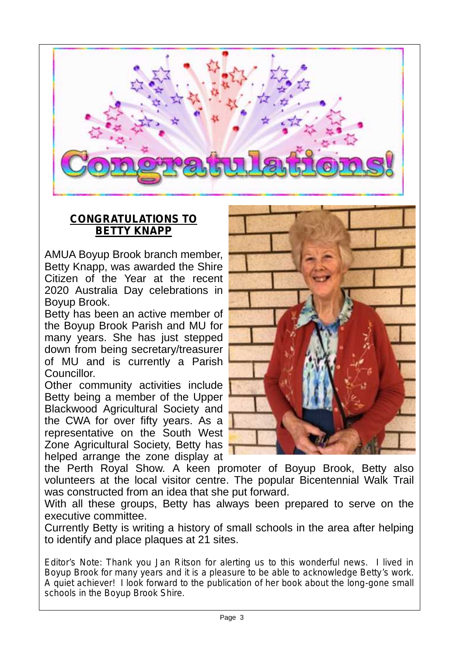

# **CONGRATULATIONS TO BETTY KNAPP**

AMUA Boyup Brook branch member, Betty Knapp, was awarded the Shire Citizen of the Year at the recent 2020 Australia Day celebrations in Boyup Brook.

Betty has been an active member of the Boyup Brook Parish and MU for many years. She has just stepped down from being secretary/treasurer of MU and is currently a Parish Councillor.

Other community activities include Betty being a member of the Upper Blackwood Agricultural Society and the CWA for over fifty years. As a representative on the South West Zone Agricultural Society, Betty has helped arrange the zone display at



the Perth Royal Show. A keen promoter of Boyup Brook, Betty also volunteers at the local visitor centre. The popular Bicentennial Walk Trail was constructed from an idea that she put forward.

With all these groups, Betty has always been prepared to serve on the executive committee.

Currently Betty is writing a history of small schools in the area after helping to identify and place plaques at 21 sites.

*Editor's Note: Thank you Jan Ritson for alerting us to this wonderful news. I lived in Boyup Brook for many years and it is a pleasure to be able to acknowledge Betty's work. A quiet achiever! I look forward to the publication of her book about the long-gone small schools in the Boyup Brook Shire.*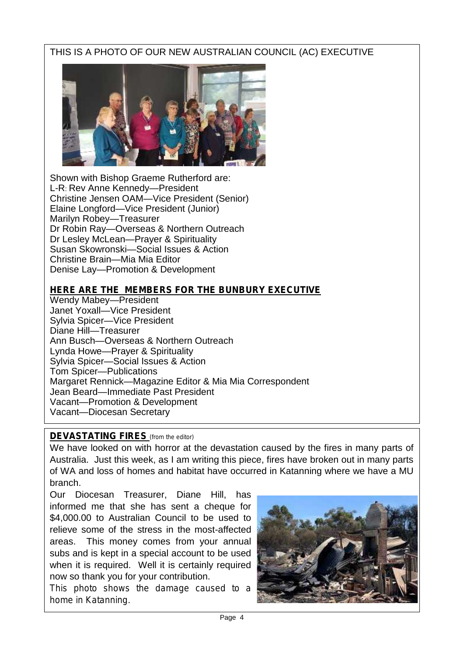# THIS IS A PHOTO OF OUR NEW AUSTRALIAN COUNCIL (AC) EXECUTIVE



Shown with Bishop Graeme Rutherford are: L-R: Rev Anne Kennedy—President Christine Jensen OAM—Vice President (Senior) Elaine Longford—Vice President (Junior) Marilyn Robey-Treasurer Dr Robin Ray—Overseas & Northern Outreach Dr Lesley McLean—Prayer & Spirituality Susan Skowronski—Social Issues & Action Christine Brain—Mia Mia Editor Denise Lay—Promotion & Development

## **HERE ARE THE MEMBERS FOR THE BUNBURY EXECUTIVE**

Wendy Mabey—President Janet Yoxall—Vice President Sylvia Spicer—Vice President Diane Hill—Treasurer Ann Busch—Overseas & Northern Outreach Lynda Howe—Prayer & Spirituality Sylvia Spicer—Social Issues & Action Tom Spicer—Publications Margaret Rennick—Magazine Editor & Mia Mia Correspondent Jean Beard—Immediate Past President Vacant—Promotion & Development Vacant—Diocesan Secretary

## **DEVASTATING FIRES** *(from the editor)*

We have looked on with horror at the devastation caused by the fires in many parts of Australia. Just this week, as I am writing this piece, fires have broken out in many parts of WA and loss of homes and habitat have occurred in Katanning where we have a MU branch.

Our Diocesan Treasurer, Diane Hill, has informed me that she has sent a cheque for \$4,000.00 to Australian Council to be used to relieve some of the stress in the most-affected areas. This money comes from your annual subs and is kept in a special account to be used when it is required. Well it is certainly required now so thank you for your contribution.

*This photo shows the damage caused to a home in Katanning*.

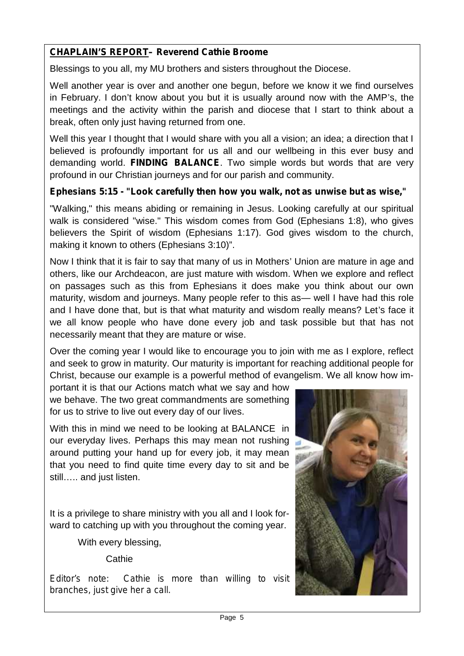## **CHAPLAIN'S REPORT– Reverend Cathie Broome**

Blessings to you all, my MU brothers and sisters throughout the Diocese.

Well another year is over and another one begun, before we know it we find ourselves in February. I don't know about you but it is usually around now with the AMP's, the meetings and the activity within the parish and diocese that I start to think about a break, often only just having returned from one.

Well this year I thought that I would share with you all a vision; an idea; a direction that I believed is profoundly important for us all and our wellbeing in this ever busy and demanding world. **FINDING BALANCE**. Two simple words but words that are very profound in our Christian journeys and for our parish and community.

## **Ephesians 5:15 - "Look carefully then how you walk, not as unwise but as wise,"**

"Walking," this means abiding or remaining in Jesus. Looking carefully at our spiritual walk is considered "wise." This wisdom comes from God (Ephesians 1:8), who gives believers the Spirit of wisdom (Ephesians 1:17). God gives wisdom to the church, making it known to others (Ephesians 3:10)".

Now I think that it is fair to say that many of us in Mothers' Union are mature in age and others, like our Archdeacon, are just mature with wisdom. When we explore and reflect on passages such as this from Ephesians it does make you think about our own maturity, wisdom and journeys. Many people refer to this as— well I have had this role and I have done that, but is that what maturity and wisdom really means? Let's face it we all know people who have done every job and task possible but that has not necessarily meant that they are mature or wise.

Over the coming year I would like to encourage you to join with me as I explore, reflect and seek to grow in maturity. Our maturity is important for reaching additional people for Christ, because our example is a powerful method of evangelism. We all know how im-

portant it is that our Actions match what we say and how we behave. The two great commandments are something for us to strive to live out every day of our lives.

With this in mind we need to be looking at BALANCE in our everyday lives. Perhaps this may mean not rushing around putting your hand up for every job, it may mean that you need to find quite time every day to sit and be still….. and just listen.

It is a privilege to share ministry with you all and I look forward to catching up with you throughout the coming year.

With every blessing,

**Cathie** 

*Editor's note: Cathie is more than willing to visit branches, just give her a call.*

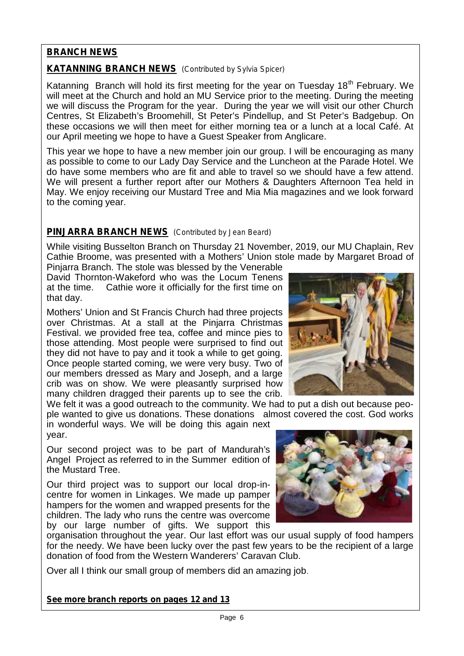## **BRANCH NEWS**

### **KATANNING BRANCH NEWS** *(Contributed by Sylvia Spicer)*

Katanning Branch will hold its first meeting for the year on Tuesday  $18<sup>th</sup>$  February. We will meet at the Church and hold an MU Service prior to the meeting. During the meeting we will discuss the Program for the year. During the year we will visit our other Church Centres, St Elizabeth's Broomehill, St Peter's Pindellup, and St Peter's Badgebup. On these occasions we will then meet for either morning tea or a lunch at a local Café. At our April meeting we hope to have a Guest Speaker from Anglicare.

This year we hope to have a new member join our group. I will be encouraging as many as possible to come to our Lady Day Service and the Luncheon at the Parade Hotel. We do have some members who are fit and able to travel so we should have a few attend. We will present a further report after our Mothers & Daughters Afternoon Tea held in May. We enjoy receiving our Mustard Tree and Mia Mia magazines and we look forward to the coming year.

### **PINJARRA BRANCH NEWS** *(Contributed by Jean Beard)*

While visiting Busselton Branch on Thursday 21 November, 2019, our MU Chaplain, Rev Cathie Broome, was presented with a Mothers' Union stole made by Margaret Broad of

Pinjarra Branch. The stole was blessed by the Venerable David Thornton-Wakeford who was the Locum Tenens at the time. Cathie wore it officially for the first time on that day.

Mothers' Union and St Francis Church had three projects over Christmas. At a stall at the Pinjarra Christmas Festival. we provided free tea, coffee and mince pies to those attending. Most people were surprised to find out they did not have to pay and it took a while to get going. Once people started coming, we were very busy. Two of our members dressed as Mary and Joseph, and a large crib was on show. We were pleasantly surprised how many children dragged their parents up to see the crib.

We felt it was a good outreach to the community. We had to put a dish out because people wanted to give us donations. These donations almost covered the cost. God works

in wonderful ways. We will be doing this again next year.

Our second project was to be part of Mandurah's Angel Project as referred to in the Summer edition of the Mustard Tree.

Our third project was to support our local drop-in centre for women in Linkages. We made up pamper hampers for the women and wrapped presents for the children. The lady who runs the centre was overcome by our large number of gifts. We support this

organisation throughout the year. Our last effort was our usual supply of food hampers for the needy. We have been lucky over the past few years to be the recipient of a large donation of food from the Western Wanderers' Caravan Club.

Over all I think our small group of members did an amazing job.

*See more branch reports on pages 12 and 13*

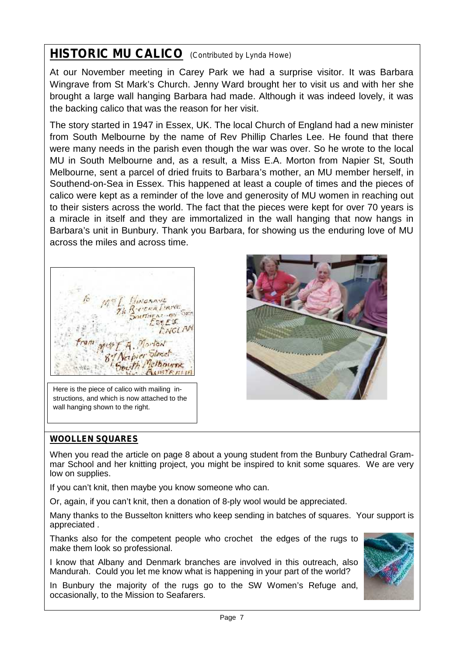# **HISTORIC MU CALICO** *(Contributed by Lynda Howe)*

At our November meeting in Carey Park we had a surprise visitor. It was Barbara Wingrave from St Mark's Church. Jenny Ward brought her to visit us and with her she brought a large wall hanging Barbara had made. Although it was indeed lovely, it was the backing calico that was the reason for her visit.

The story started in 1947 in Essex, UK. The local Church of England had a new minister from South Melbourne by the name of Rev Phillip Charles Lee. He found that there were many needs in the parish even though the war was over. So he wrote to the local MU in South Melbourne and, as a result, a Miss E.A. Morton from Napier St, South Melbourne, sent a parcel of dried fruits to Barbara's mother, an MU member herself, in Southend-on-Sea in Essex. This happened at least a couple of times and the pieces of calico were kept as a reminder of the love and generosity of MU women in reaching out to their sisters across the world. The fact that the pieces were kept for over 70 years is a miracle in itself and they are immortalized in the wall hanging that now hangs in Barbara's unit in Bunbury. Thank you Barbara, for showing us the enduring love of MU across the miles and across time.



Here is the piece of calico with mailing instructions, and which is now attached to the wall hanging shown to the right.



## **WOOLLEN SQUARES**

When you read the article on page 8 about a young student from the Bunbury Cathedral Grammar School and her knitting project, you might be inspired to knit some squares. We are very low on supplies.

If you can't knit, then maybe you know someone who can.

Or, again, if you can't knit, then a donation of 8-ply wool would be appreciated.

Many thanks to the Busselton knitters who keep sending in batches of squares. Your support is appreciated .

Thanks also for the competent people who crochet the edges of the rugs to make them look so professional.

I know that Albany and Denmark branches are involved in this outreach, also Mandurah. Could you let me know what is happening in your part of the world?

In Bunbury the majority of the rugs go to the SW Women's Refuge and, occasionally, to the Mission to Seafarers.

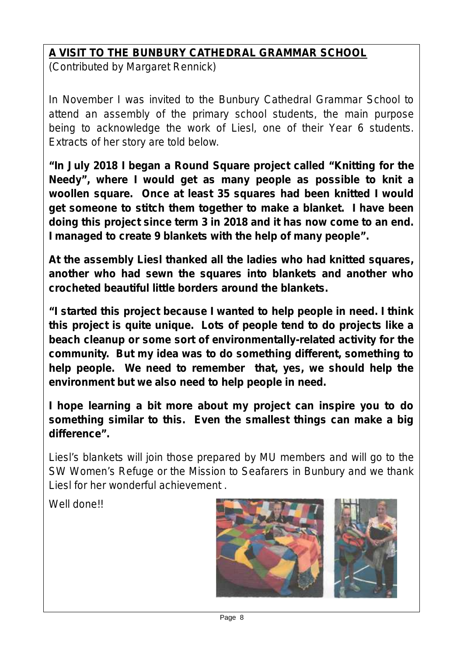# **A VISIT TO THE BUNBURY CATHEDRAL GRAMMAR SCHOOL**

*(Contributed by Margaret Rennick)*

*In November I was invited to the Bunbury Cathedral Grammar School to attend an assembly of the primary school students, the main purpose being to acknowledge the work of Liesl, one of their Year 6 students. Extracts of her story are told below.*

**"In July 2018 I began a Round Square project called "Knitting for the Needy", where I would get as many people as possible to knit a woollen square. Once at least 35 squares had been knitted I would get someone to stitch them together to make a blanket. I have been doing this project since term 3 in 2018 and it has now come to an end. I managed to create 9 blankets with the help of many people".**

**At the assembly Liesl thanked all the ladies who had knitted squares, another who had sewn the squares into blankets and another who crocheted beautiful little borders around the blankets.**

**"I started this project because I wanted to help people in need. I think this project is quite unique. Lots of people tend to do projects like a beach cleanup or some sort of environmentally-related activity for the community. But my idea was to do something different, something to help people. We need to remember that, yes, we should help the environment but we also need to help people in need.**

**I hope learning a bit more about my project can inspire you to do something similar to this. Even the smallest things can make a big difference".**

*Liesl's blankets will join those prepared by MU members and will go to the SW Women's Refuge or the Mission to Seafarers in Bunbury and we thank Liesl for her wonderful achievement .*

*Well done!!*

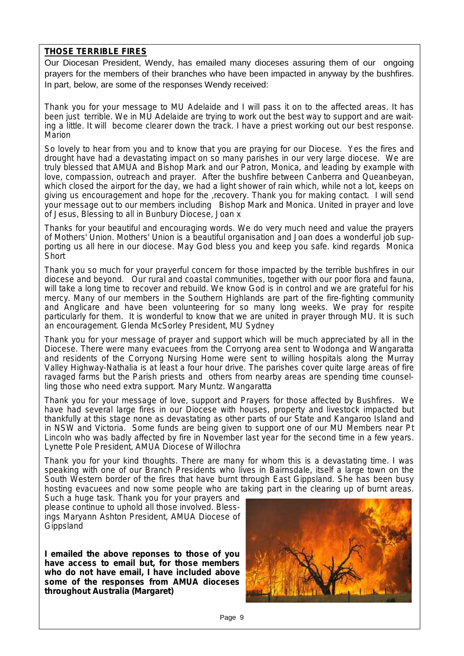### **THOSE TERRIBLE FIRES**

Our Diocesan President, Wendy, has emailed many dioceses assuring them of our ongoing prayers for the members of their branches who have been impacted in anyway by the bushfires. In part, below, are some of the responses Wendy received:

*Thank you for your message to MU Adelaide and I will pass it on to the affected areas. It has been just terrible. We in MU Adelaide are trying to work out the best way to support and are waiting a little. It will become clearer down the track. I have a priest working out our best response. Marion*

*So lovely to hear from you and to know that you are praying for our Diocese. Yes the fires and drought have had a devastating impact on so many parishes in our very large diocese. We are truly blessed that AMUA and Bishop Mark and our Patron, Monica, and leading by example with love, compassion, outreach and prayer. After the bushfire between Canberra and Queanbeyan, which closed the airport for the day, we had a light shower of rain which, while not a lot, keeps on giving us encouragement and hope for the ,recovery. Thank you for making contact. I will send your message out to our members including Bishop Mark and Monica. United in prayer and love of Jesus, Blessing to all in Bunbury Diocese, Joan x*

*Thanks for your beautiful and encouraging words. We do very much need and value the prayers of Mothers' Union. Mothers' Union is a beautiful organisation and Joan does a wonderful job supporting us all here in our diocese. May God bless you and keep you safe. kind regards Monica Short*

*Thank you so much for your prayerful concern for those impacted by the terrible bushfires in our diocese and beyond. Our rural and coastal communities, together with our poor flora and fauna, will take a long time to recover and rebuild. We know God is in control and we are grateful for his mercy. Many of our members in the Southern Highlands are part of the fire-fighting community and Anglicare and have been volunteering for so many long weeks. We pray for respite particularly for them. It is wonderful to know that we are united in prayer through MU. It is such an encouragement. Glenda McSorley President, MU Sydney*

*Thank you for your message of prayer and support which will be much appreciated by all in the Diocese. There were many evacuees from the Corryong area sent to Wodonga and Wangaratta and residents of the Corryong Nursing Home were sent to willing hospitals along the Murray Valley Highway-Nathalia is at least a four hour drive. The parishes cover quite large areas of fire ravaged farms but the Parish priests and others from nearby areas are spending time counselling those who need extra support. Mary Muntz. Wangaratta*

*Thank you for your message of love, support and Prayers for those affected by Bushfires. We have had several large fires in our Diocese with houses, property and livestock impacted but thankfully at this stage none as devastating as other parts of our State and Kangaroo Island and in NSW and Victoria. Some funds are being given to support one of our MU Members near Pt Lincoln who was badly affected by fire in November last year for the second time in a few years. Lynette Pole President, AMUA Diocese of Willochra*

*Thank you for your kind thoughts. There are many for whom this is a devastating time. I was speaking with one of our Branch Presidents who lives in Bairnsdale, itself a large town on the South Western border of the fires that have burnt through East Gippsland. She has been busy hosting evacuees and now some people who are taking part in the clearing up of burnt areas.*

*Such a huge task. Thank you for your prayers and please continue to uphold all those involved. Blessings Maryann Ashton President, AMUA Diocese of Gippsland*

**I emailed the above reponses to those of you have access to email but, for those members who do not have email, I have included above some of the responses from AMUA dioceses throughout Australia (Margaret)**

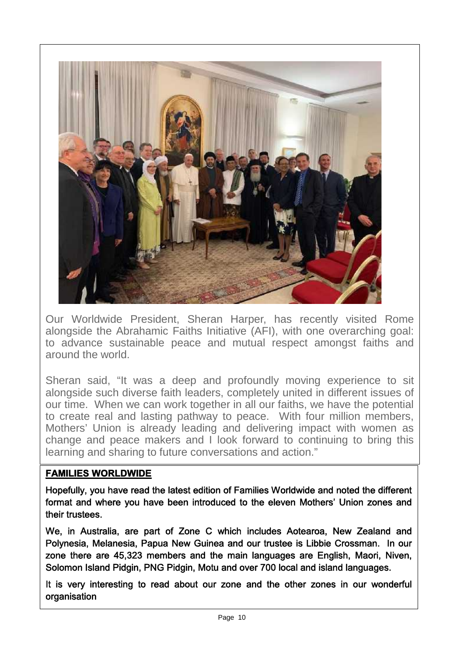

Our Worldwide President, Sheran Harper, has recently visited Rome alongside the Abrahamic Faiths Initiative (AFI), with one overarching goal: to advance sustainable peace and mutual respect amongst faiths and around the world.

Sheran said, "It was a deep and profoundly moving experience to sit alongside such diverse faith leaders, completely united in different issues of our time. When we can work together in all our faiths, we have the potential to create real and lasting pathway to peace. With four million members, Mothers' Union is already leading and delivering impact with women as change and peace makers and I look forward to continuing to bring this learning and sharing to future conversations and action."

## **FAMILIES WORLDWIDE**

Hopefully, you have read the latest edition of Families Worldwide and noted the different format and where you have been introduced to the eleven Mothers' Union zones and their trustees.

We, in Australia, are part of Zone C which includes Aotearoa, New Zealand and Polynesia, Melanesia, Papua New Guinea and our trustee is Libbie Crossman. In our zone there are 45,323 members and the main languages are English, Maori, Niven, Solomon Island Pidgin, PNG Pidgin, Motu and over 700 local and island languages.

It is very interesting to read about our zone and the other zones in our wonderful organisation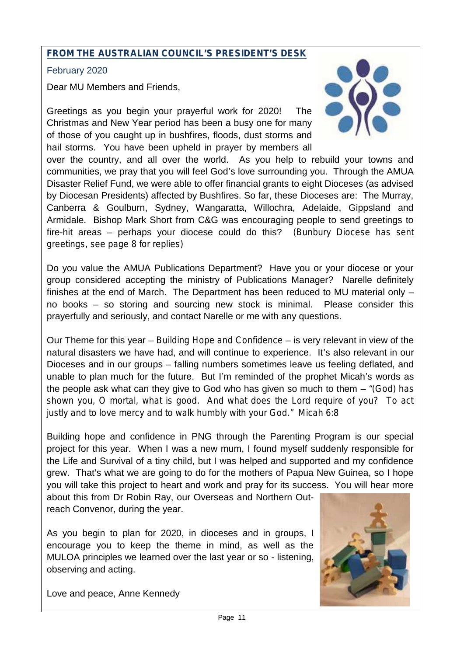## **FROM THE AUSTRALIAN COUNCIL'S PRESIDENT'S DESK**

February 2020

Dear MU Members and Friends,

Greetings as you begin your prayerful work for 2020! The Christmas and New Year period has been a busy one for many of those of you caught up in bushfires, floods, dust storms and hail storms. You have been upheld in prayer by members all



over the country, and all over the world. As you help to rebuild your towns and communities, we pray that you will feel God's love surrounding you. Through the AMUA Disaster Relief Fund, we were able to offer financial grants to eight Dioceses (as advised by Diocesan Presidents) affected by Bushfires. So far, these Dioceses are: The Murray, Canberra & Goulburn, Sydney, Wangaratta, Willochra, Adelaide, Gippsland and Armidale. Bishop Mark Short from C&G was encouraging people to send greetings to fire-hit areas – perhaps your diocese could do this? *(Bunbury Diocese has sent greetings, see page 8 for replies)*

Do you value the AMUA Publications Department? Have you or your diocese or your group considered accepting the ministry of Publications Manager? Narelle definitely finishes at the end of March. The Department has been reduced to MU material only – no books – so storing and sourcing new stock is minimal. Please consider this prayerfully and seriously, and contact Narelle or me with any questions.

Our Theme for this year – *Building Hope and Confidence* – is very relevant in view of the natural disasters we have had, and will continue to experience. It's also relevant in our Dioceses and in our groups – falling numbers sometimes leave us feeling deflated, and unable to plan much for the future. But I'm reminded of the prophet Micah's words as the people ask what can they give to God who has given so much to them – *"(God) has shown you, O mortal, what is good. And what does the Lord require of you? To act justly and to love mercy and to walk humbly with your God." Micah 6:8*

Building hope and confidence in PNG through the Parenting Program is our special project for this year. When I was a new mum, I found myself suddenly responsible for the Life and Survival of a tiny child, but I was helped and supported and my confidence grew. That's what we are going to do for the mothers of Papua New Guinea, so I hope you will take this project to heart and work and pray for its success. You will hear more

about this from Dr Robin Ray, our Overseas and Northern Outreach Convenor, during the year.

As you begin to plan for 2020, in dioceses and in groups, I encourage you to keep the theme in mind, as well as the MULOA principles we learned over the last year or so - listening, observing and acting.



Love and peace, Anne Kennedy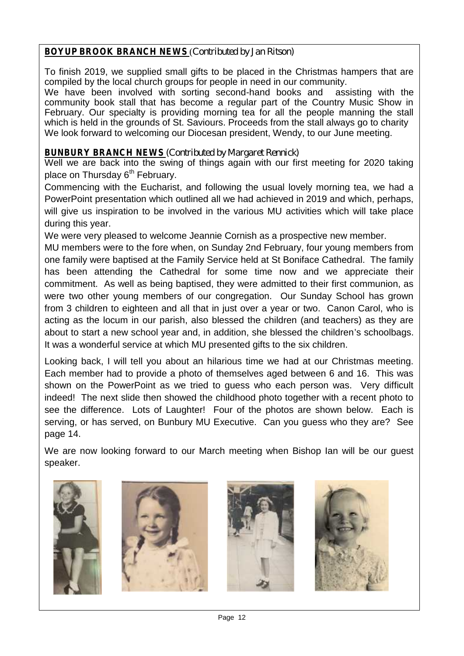## **BOYUP BROOK BRANCH NEWS** (*Contributed by Jan Ritson)*

To finish 2019, we supplied small gifts to be placed in the Christmas hampers that are compiled by the local church groups for people in need in our community.<br>We have been involved with sorting second-hand books and assisting with the

We have been involved with sorting second-hand books and community book stall that has become a regular part of the Country Music Show in February. Our specialty is providing morning tea for all the people manning the stall which is held in the grounds of St. Saviours. Proceeds from the stall always go to charity We look forward to welcoming our Diocesan president, Wendy, to our June meeting.

### **BUNBURY BRANCH NEWS** *(Contributed by Margaret Rennick)*

Well we are back into the swing of things again with our first meeting for 2020 taking place on Thursday  $6<sup>th</sup>$  February.

Commencing with the Eucharist, and following the usual lovely morning tea, we had a PowerPoint presentation which outlined all we had achieved in 2019 and which, perhaps, will give us inspiration to be involved in the various MU activities which will take place during this year.

We were very pleased to welcome Jeannie Cornish as a prospective new member.

MU members were to the fore when, on Sunday 2nd February, four young members from one family were baptised at the Family Service held at St Boniface Cathedral. The family has been attending the Cathedral for some time now and we appreciate their commitment. As well as being baptised, they were admitted to their first communion, as were two other young members of our congregation. Our Sunday School has grown from 3 children to eighteen and all that in just over a year or two. Canon Carol, who is acting as the locum in our parish, also blessed the children (and teachers) as they are about to start a new school year and, in addition, she blessed the children's schoolbags. It was a wonderful service at which MU presented gifts to the six children.

Looking back, I will tell you about an hilarious time we had at our Christmas meeting. Each member had to provide a photo of themselves aged between 6 and 16. This was shown on the PowerPoint as we tried to guess who each person was. Very difficult indeed! The next slide then showed the childhood photo together with a recent photo to see the difference. Lots of Laughter! Four of the photos are shown below. Each is serving, or has served, on Bunbury MU Executive. Can you guess who they are? See page 14.

We are now looking forward to our March meeting when Bishop Ian will be our guest speaker.







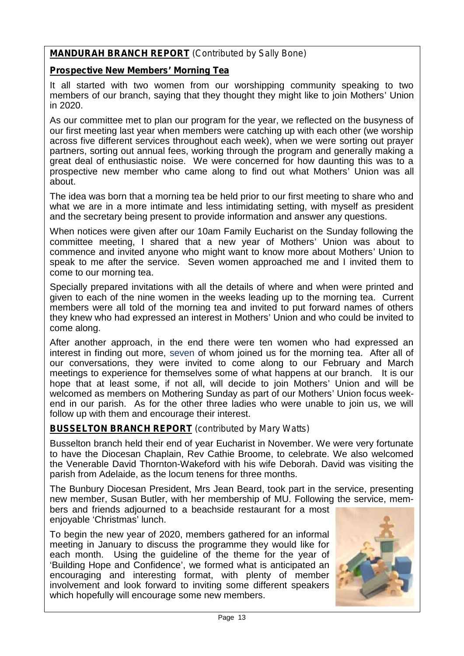## **MANDURAH BRANCH REPORT** *(Contributed by Sally Bone)*

### **Prospective New Members' Morning Tea**

It all started with two women from our worshipping community speaking to two members of our branch, saying that they thought they might like to join Mothers' Union in 2020.

As our committee met to plan our program for the year, we reflected on the busyness of our first meeting last year when members were catching up with each other (we worship across five different services throughout each week), when we were sorting out prayer partners, sorting out annual fees, working through the program and generally making a great deal of enthusiastic noise. We were concerned for how daunting this was to a prospective new member who came along to find out what Mothers' Union was all about.

The idea was born that a morning tea be held prior to our first meeting to share who and what we are in a more intimate and less intimidating setting, with myself as president and the secretary being present to provide information and answer any questions.

When notices were given after our 10am Family Eucharist on the Sunday following the committee meeting, I shared that a new year of Mothers' Union was about to commence and invited anyone who might want to know more about Mothers' Union to speak to me after the service. Seven women approached me and I invited them to come to our morning tea.

Specially prepared invitations with all the details of where and when were printed and given to each of the nine women in the weeks leading up to the morning tea. Current members were all told of the morning tea and invited to put forward names of others they knew who had expressed an interest in Mothers' Union and who could be invited to come along.

After another approach, in the end there were ten women who had expressed an interest in finding out more, seven of whom joined us for the morning tea. After all of our conversations, they were invited to come along to our February and March meetings to experience for themselves some of what happens at our branch. It is our hope that at least some, if not all, will decide to join Mothers' Union and will be welcomed as members on Mothering Sunday as part of our Mothers' Union focus weekend in our parish. As for the other three ladies who were unable to join us, we will follow up with them and encourage their interest.

## **BUSSELTON BRANCH REPORT** *(contributed by Mary Watts)*

Busselton branch held their end of year Eucharist in November. We were very fortunate to have the Diocesan Chaplain, Rev Cathie Broome, to celebrate. We also welcomed the Venerable David Thornton-Wakeford with his wife Deborah. David was visiting the parish from Adelaide, as the locum tenens for three months.

The Bunbury Diocesan President, Mrs Jean Beard, took part in the service, presenting new member, Susan Butler, with her membership of MU. Following the service, members and friends adjourned to a beachside restaurant for a most

enjoyable 'Christmas' lunch.

To begin the new year of 2020, members gathered for an informal meeting in January to discuss the programme they would like for each month. Using the guideline of the theme for the year of 'Building Hope and Confidence', we formed what is anticipated an encouraging and interesting format, with plenty of member involvement and look forward to inviting some different speakers which hopefully will encourage some new members.